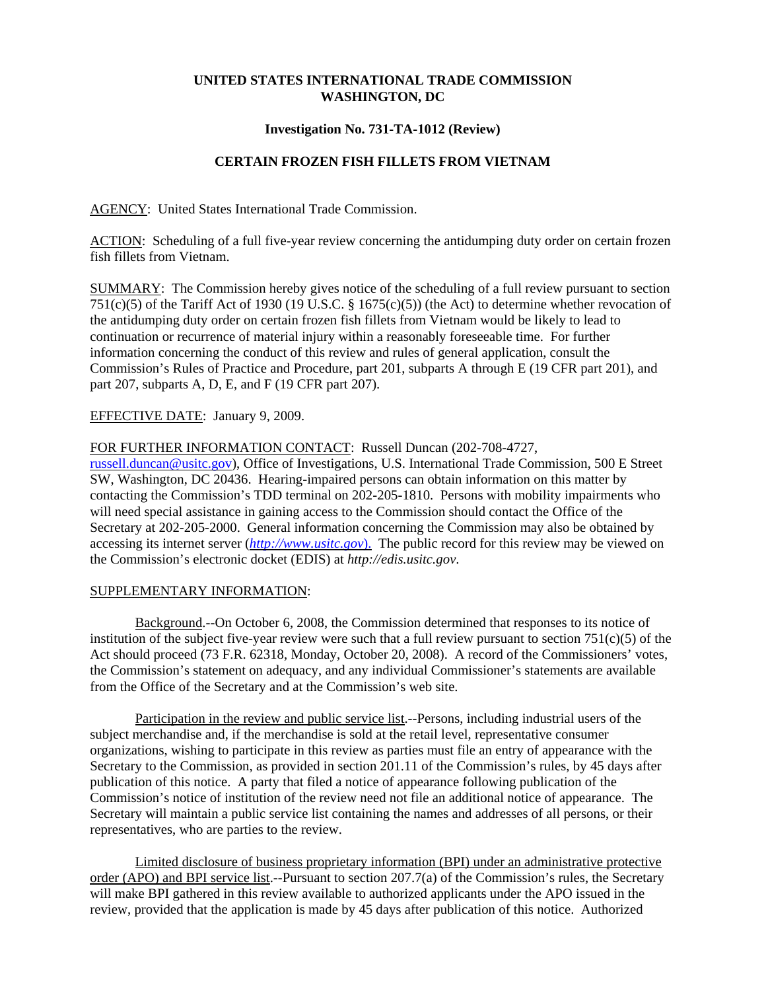## **UNITED STATES INTERNATIONAL TRADE COMMISSION WASHINGTON, DC**

### **Investigation No. 731-TA-1012 (Review)**

# **CERTAIN FROZEN FISH FILLETS FROM VIETNAM**

AGENCY: United States International Trade Commission.

ACTION: Scheduling of a full five-year review concerning the antidumping duty order on certain frozen fish fillets from Vietnam.

SUMMARY: The Commission hereby gives notice of the scheduling of a full review pursuant to section 751(c)(5) of the Tariff Act of 1930 (19 U.S.C. § 1675(c)(5)) (the Act) to determine whether revocation of the antidumping duty order on certain frozen fish fillets from Vietnam would be likely to lead to continuation or recurrence of material injury within a reasonably foreseeable time. For further information concerning the conduct of this review and rules of general application, consult the Commission's Rules of Practice and Procedure, part 201, subparts A through E (19 CFR part 201), and part 207, subparts A, D, E, and F (19 CFR part 207).

### EFFECTIVE DATE: January 9, 2009.

### FOR FURTHER INFORMATION CONTACT: Russell Duncan (202-708-4727,

russell.duncan@usitc.gov), Office of Investigations, U.S. International Trade Commission, 500 E Street SW, Washington, DC 20436. Hearing-impaired persons can obtain information on this matter by contacting the Commission's TDD terminal on 202-205-1810. Persons with mobility impairments who will need special assistance in gaining access to the Commission should contact the Office of the Secretary at 202-205-2000. General information concerning the Commission may also be obtained by accessing its internet server (*http://www.usitc.gov*). The public record for this review may be viewed on the Commission's electronic docket (EDIS) at *http://edis.usitc.gov*.

#### SUPPLEMENTARY INFORMATION:

Background.--On October 6, 2008, the Commission determined that responses to its notice of institution of the subject five-year review were such that a full review pursuant to section  $751(c)(5)$  of the Act should proceed (73 F.R. 62318, Monday, October 20, 2008). A record of the Commissioners' votes, the Commission's statement on adequacy, and any individual Commissioner's statements are available from the Office of the Secretary and at the Commission's web site.

Participation in the review and public service list.--Persons, including industrial users of the subject merchandise and, if the merchandise is sold at the retail level, representative consumer organizations, wishing to participate in this review as parties must file an entry of appearance with the Secretary to the Commission, as provided in section 201.11 of the Commission's rules, by 45 days after publication of this notice. A party that filed a notice of appearance following publication of the Commission's notice of institution of the review need not file an additional notice of appearance. The Secretary will maintain a public service list containing the names and addresses of all persons, or their representatives, who are parties to the review.

Limited disclosure of business proprietary information (BPI) under an administrative protective order (APO) and BPI service list.--Pursuant to section 207.7(a) of the Commission's rules, the Secretary will make BPI gathered in this review available to authorized applicants under the APO issued in the review, provided that the application is made by 45 days after publication of this notice. Authorized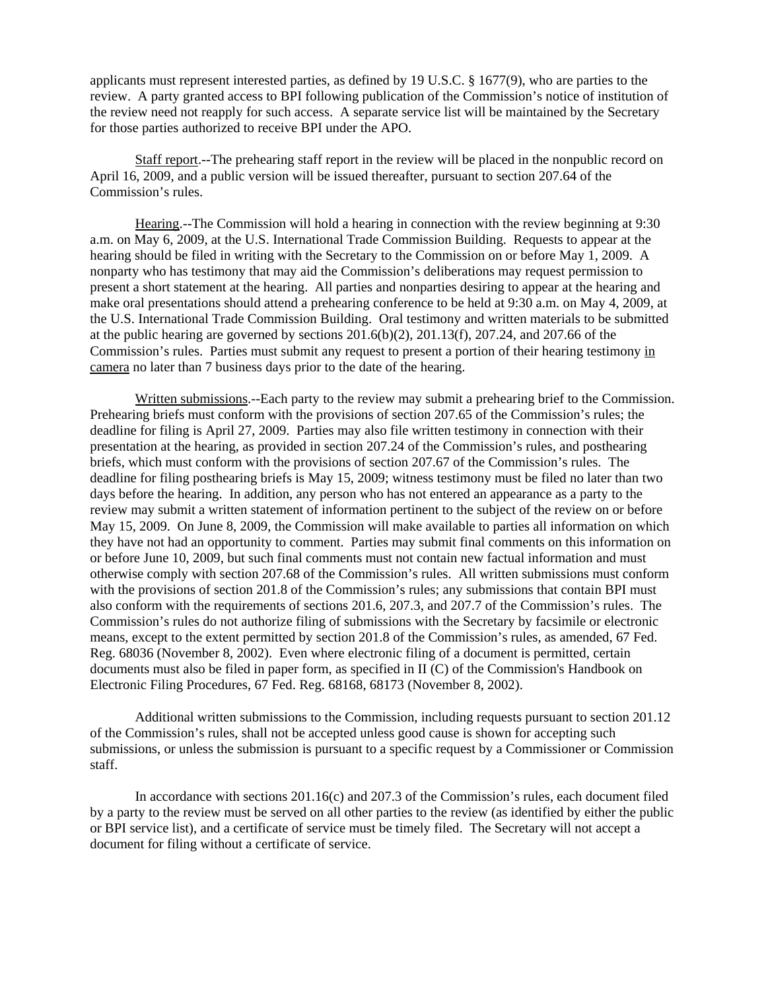applicants must represent interested parties, as defined by 19 U.S.C. § 1677(9), who are parties to the review. A party granted access to BPI following publication of the Commission's notice of institution of the review need not reapply for such access. A separate service list will be maintained by the Secretary for those parties authorized to receive BPI under the APO.

Staff report.--The prehearing staff report in the review will be placed in the nonpublic record on April 16, 2009, and a public version will be issued thereafter, pursuant to section 207.64 of the Commission's rules.

Hearing.--The Commission will hold a hearing in connection with the review beginning at 9:30 a.m. on May 6, 2009, at the U.S. International Trade Commission Building. Requests to appear at the hearing should be filed in writing with the Secretary to the Commission on or before May 1, 2009. A nonparty who has testimony that may aid the Commission's deliberations may request permission to present a short statement at the hearing. All parties and nonparties desiring to appear at the hearing and make oral presentations should attend a prehearing conference to be held at 9:30 a.m. on May 4, 2009, at the U.S. International Trade Commission Building. Oral testimony and written materials to be submitted at the public hearing are governed by sections  $201.6(b)(2)$ ,  $201.13(f)$ ,  $207.24$ , and  $207.66$  of the Commission's rules. Parties must submit any request to present a portion of their hearing testimony in camera no later than 7 business days prior to the date of the hearing.

Written submissions.--Each party to the review may submit a prehearing brief to the Commission. Prehearing briefs must conform with the provisions of section 207.65 of the Commission's rules; the deadline for filing is April 27, 2009. Parties may also file written testimony in connection with their presentation at the hearing, as provided in section 207.24 of the Commission's rules, and posthearing briefs, which must conform with the provisions of section 207.67 of the Commission's rules. The deadline for filing posthearing briefs is May 15, 2009; witness testimony must be filed no later than two days before the hearing. In addition, any person who has not entered an appearance as a party to the review may submit a written statement of information pertinent to the subject of the review on or before May 15, 2009. On June 8, 2009, the Commission will make available to parties all information on which they have not had an opportunity to comment. Parties may submit final comments on this information on or before June 10, 2009, but such final comments must not contain new factual information and must otherwise comply with section 207.68 of the Commission's rules. All written submissions must conform with the provisions of section 201.8 of the Commission's rules; any submissions that contain BPI must also conform with the requirements of sections 201.6, 207.3, and 207.7 of the Commission's rules. The Commission's rules do not authorize filing of submissions with the Secretary by facsimile or electronic means, except to the extent permitted by section 201.8 of the Commission's rules, as amended, 67 Fed. Reg. 68036 (November 8, 2002). Even where electronic filing of a document is permitted, certain documents must also be filed in paper form, as specified in II (C) of the Commission's Handbook on Electronic Filing Procedures, 67 Fed. Reg. 68168, 68173 (November 8, 2002).

Additional written submissions to the Commission, including requests pursuant to section 201.12 of the Commission's rules, shall not be accepted unless good cause is shown for accepting such submissions, or unless the submission is pursuant to a specific request by a Commissioner or Commission staff.

In accordance with sections 201.16(c) and 207.3 of the Commission's rules, each document filed by a party to the review must be served on all other parties to the review (as identified by either the public or BPI service list), and a certificate of service must be timely filed. The Secretary will not accept a document for filing without a certificate of service.